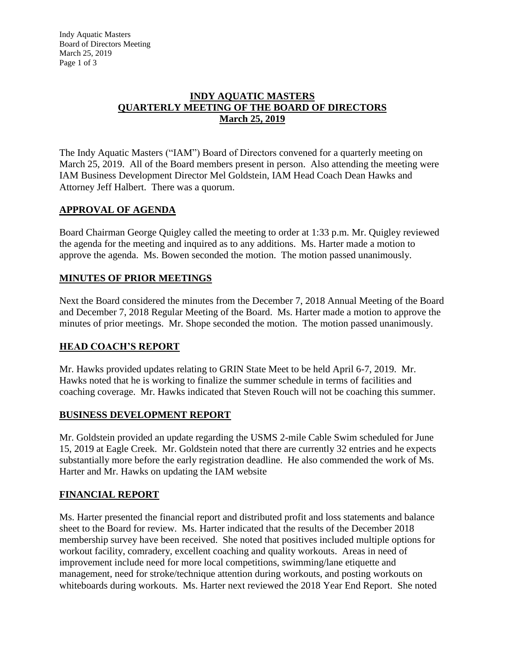Indy Aquatic Masters Board of Directors Meeting March 25, 2019 Page 1 of 3

#### **INDY AQUATIC MASTERS QUARTERLY MEETING OF THE BOARD OF DIRECTORS March 25, 2019**

The Indy Aquatic Masters ("IAM") Board of Directors convened for a quarterly meeting on March 25, 2019. All of the Board members present in person. Also attending the meeting were IAM Business Development Director Mel Goldstein, IAM Head Coach Dean Hawks and Attorney Jeff Halbert. There was a quorum.

### **APPROVAL OF AGENDA**

Board Chairman George Quigley called the meeting to order at 1:33 p.m. Mr. Quigley reviewed the agenda for the meeting and inquired as to any additions. Ms. Harter made a motion to approve the agenda. Ms. Bowen seconded the motion. The motion passed unanimously.

# **MINUTES OF PRIOR MEETINGS**

Next the Board considered the minutes from the December 7, 2018 Annual Meeting of the Board and December 7, 2018 Regular Meeting of the Board. Ms. Harter made a motion to approve the minutes of prior meetings. Mr. Shope seconded the motion. The motion passed unanimously.

### **HEAD COACH'S REPORT**

Mr. Hawks provided updates relating to GRIN State Meet to be held April 6-7, 2019. Mr. Hawks noted that he is working to finalize the summer schedule in terms of facilities and coaching coverage. Mr. Hawks indicated that Steven Rouch will not be coaching this summer.

### **BUSINESS DEVELOPMENT REPORT**

Mr. Goldstein provided an update regarding the USMS 2-mile Cable Swim scheduled for June 15, 2019 at Eagle Creek. Mr. Goldstein noted that there are currently 32 entries and he expects substantially more before the early registration deadline. He also commended the work of Ms. Harter and Mr. Hawks on updating the IAM website

### **FINANCIAL REPORT**

Ms. Harter presented the financial report and distributed profit and loss statements and balance sheet to the Board for review. Ms. Harter indicated that the results of the December 2018 membership survey have been received. She noted that positives included multiple options for workout facility, comradery, excellent coaching and quality workouts. Areas in need of improvement include need for more local competitions, swimming/lane etiquette and management, need for stroke/technique attention during workouts, and posting workouts on whiteboards during workouts. Ms. Harter next reviewed the 2018 Year End Report. She noted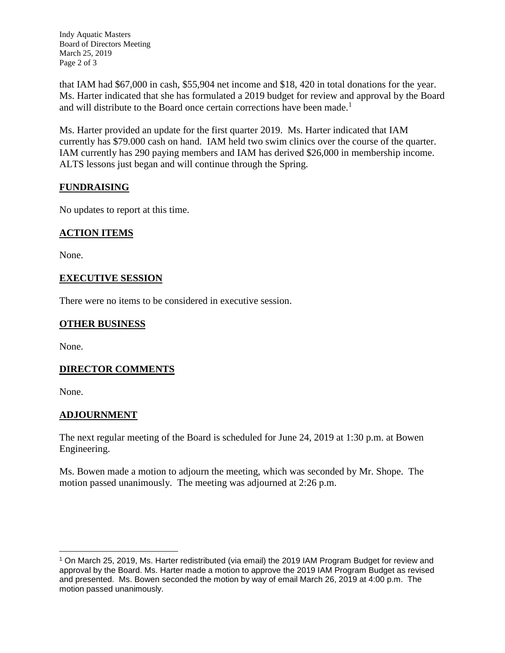Indy Aquatic Masters Board of Directors Meeting March 25, 2019 Page 2 of 3

that IAM had \$67,000 in cash, \$55,904 net income and \$18, 420 in total donations for the year. Ms. Harter indicated that she has formulated a 2019 budget for review and approval by the Board and will distribute to the Board once certain corrections have been made.<sup>1</sup>

Ms. Harter provided an update for the first quarter 2019. Ms. Harter indicated that IAM currently has \$79.000 cash on hand. IAM held two swim clinics over the course of the quarter. IAM currently has 290 paying members and IAM has derived \$26,000 in membership income. ALTS lessons just began and will continue through the Spring.

# **FUNDRAISING**

No updates to report at this time.

### **ACTION ITEMS**

None.

### **EXECUTIVE SESSION**

There were no items to be considered in executive session.

## **OTHER BUSINESS**

None.

### **DIRECTOR COMMENTS**

None.

### **ADJOURNMENT**

The next regular meeting of the Board is scheduled for June 24, 2019 at 1:30 p.m. at Bowen Engineering.

Ms. Bowen made a motion to adjourn the meeting, which was seconded by Mr. Shope. The motion passed unanimously. The meeting was adjourned at 2:26 p.m.

 $\overline{a}$ <sup>1</sup> On March 25, 2019, Ms. Harter redistributed (via email) the 2019 IAM Program Budget for review and approval by the Board. Ms. Harter made a motion to approve the 2019 IAM Program Budget as revised and presented. Ms. Bowen seconded the motion by way of email March 26, 2019 at 4:00 p.m. The motion passed unanimously.